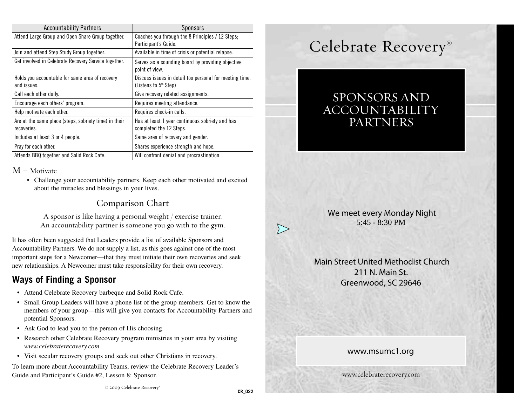| <b>Accountability Partners</b>                                       | Sponsors                                                                           |
|----------------------------------------------------------------------|------------------------------------------------------------------------------------|
| Attend Large Group and Open Share Group together.                    | Coaches you through the 8 Principles / 12 Steps;<br>Participant's Guide.           |
| Join and attend Step Study Group together.                           | Available in time of crisis or potential relapse.                                  |
| Get involved in Celebrate Recovery Service together.                 | Serves as a sounding board by providing objective<br>point of view.                |
| Holds you accountable for same area of recovery<br>and issues.       | Discuss issues in detail too personal for meeting time.<br>(Listens to $5th$ Step) |
| Call each other daily.                                               | Give recovery related assignments.                                                 |
| Encourage each others' program.                                      | Requires meeting attendance.                                                       |
| Help motivate each other.                                            | Requires check-in calls.                                                           |
| Are at the same place (steps, sobriety time) in their<br>recoveries. | Has at least 1 year continuous sobriety and has<br>completed the 12 Steps.         |
| Includes at least 3 or 4 people.                                     | Same area of recovery and gender.                                                  |
| Pray for each other.                                                 | Shares experience strength and hope.                                               |
| Attends BBQ together and Solid Rock Cafe.                            | Will confront denial and procrastination.                                          |

#### $M = Motivate$

• Challenge your accountability partners. Keep each other motivated and excited about the miracles and blessings in your lives.

### Comparison Chart

A sponsor is like having a personal weight / exercise trainer. An accountability partner is someone you go with to the gym.

It has often been suggested that Leaders provide a list of available Sponsors and Accountability Partners. We do not supply a list, as this goes against one of the most important steps for a Newcomer—that they must initiate their own recoveries and seek new relationships. A Newcomer must take responsibility for their own recovery.

# **Ways of Finding a Sponsor**

- Attend Celebrate Recovery barbeque and Solid Rock Cafe.
- Small Group Leaders will have a phone list of the group members. Get to know the members of your group—this will give you contacts for Accountability Partners and potential Sponsors.
- Ask God to lead you to the person of His choosing.
- Research other Celebrate Recovery program ministries in your area by visiting *www.celebraterecovery.com*
- Visit secular recovery groups and seek out other Christians in recovery.

To learn more about Accountability Teams, review the Celebrate Recovery Leader's Guide and Participant's Guide #2, Lesson 8: Sponsor.

# SPONSORS AND ACCOUNTABILITY PARTNERS

 We meet every Monday Night 5:45 - 8:30 PM

 Main Street United Methodist Church 211 N. Main St. Greenwood, SC 29646

#### www.msumc1.org

www.celebraterecovery.com

 $\sum$